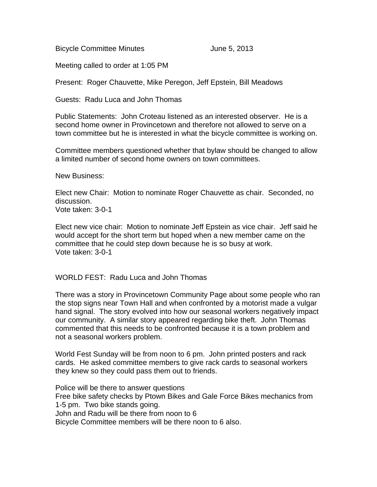Bicycle Committee Minutes **Internal 2013** 

Meeting called to order at 1:05 PM

Present: Roger Chauvette, Mike Peregon, Jeff Epstein, Bill Meadows

Guests: Radu Luca and John Thomas

Public Statements: John Croteau listened as an interested observer. He is a second home owner in Provincetown and therefore not allowed to serve on a town committee but he is interested in what the bicycle committee is working on.

Committee members questioned whether that bylaw should be changed to allow a limited number of second home owners on town committees.

New Business:

Elect new Chair: Motion to nominate Roger Chauvette as chair. Seconded, no discussion. Vote taken: 3-0-1

Elect new vice chair: Motion to nominate Jeff Epstein as vice chair. Jeff said he would accept for the short term but hoped when a new member came on the committee that he could step down because he is so busy at work. Vote taken: 3-0-1

### WORLD FEST: Radu Luca and John Thomas

There was a story in Provincetown Community Page about some people who ran the stop signs near Town Hall and when confronted by a motorist made a vulgar hand signal. The story evolved into how our seasonal workers negatively impact our community. A similar story appeared regarding bike theft. John Thomas commented that this needs to be confronted because it is a town problem and not a seasonal workers problem.

World Fest Sunday will be from noon to 6 pm. John printed posters and rack cards. He asked committee members to give rack cards to seasonal workers they knew so they could pass them out to friends.

Police will be there to answer questions Free bike safety checks by Ptown Bikes and Gale Force Bikes mechanics from 1-5 pm. Two bike stands going. John and Radu will be there from noon to 6 Bicycle Committee members will be there noon to 6 also.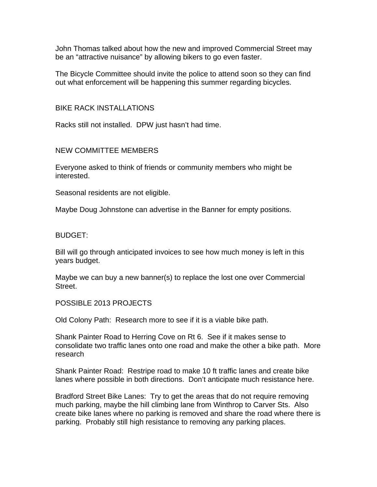John Thomas talked about how the new and improved Commercial Street may be an "attractive nuisance" by allowing bikers to go even faster.

The Bicycle Committee should invite the police to attend soon so they can find out what enforcement will be happening this summer regarding bicycles.

## BIKE RACK INSTALLATIONS

Racks still not installed. DPW just hasn't had time.

## NEW COMMITTEE MEMBERS

Everyone asked to think of friends or community members who might be interested.

Seasonal residents are not eligible.

Maybe Doug Johnstone can advertise in the Banner for empty positions.

#### BUDGET:

Bill will go through anticipated invoices to see how much money is left in this years budget.

Maybe we can buy a new banner(s) to replace the lost one over Commercial Street.

POSSIBLE 2013 PROJECTS

Old Colony Path: Research more to see if it is a viable bike path.

Shank Painter Road to Herring Cove on Rt 6. See if it makes sense to consolidate two traffic lanes onto one road and make the other a bike path. More research

Shank Painter Road: Restripe road to make 10 ft traffic lanes and create bike lanes where possible in both directions. Don't anticipate much resistance here.

Bradford Street Bike Lanes: Try to get the areas that do not require removing much parking, maybe the hill climbing lane from Winthrop to Carver Sts. Also create bike lanes where no parking is removed and share the road where there is parking. Probably still high resistance to removing any parking places.